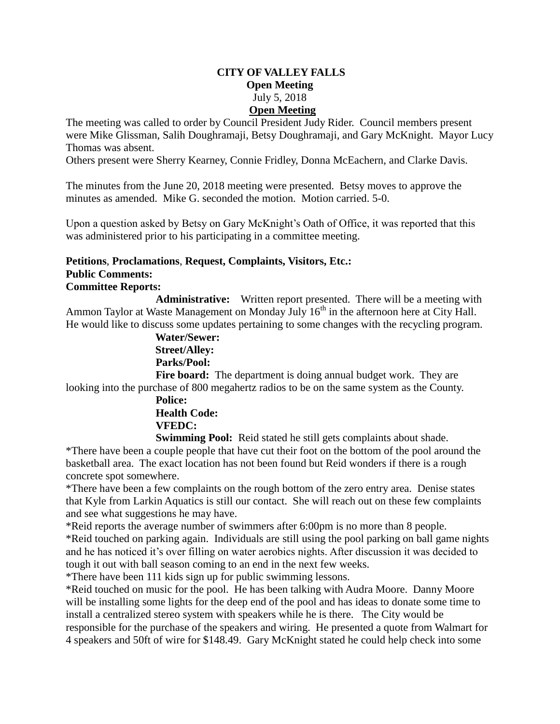## **CITY OF VALLEY FALLS Open Meeting** July 5, 2018 **Open Meeting**

The meeting was called to order by Council President Judy Rider. Council members present were Mike Glissman, Salih Doughramaji, Betsy Doughramaji, and Gary McKnight. Mayor Lucy Thomas was absent.

Others present were Sherry Kearney, Connie Fridley, Donna McEachern, and Clarke Davis.

The minutes from the June 20, 2018 meeting were presented. Betsy moves to approve the minutes as amended. Mike G. seconded the motion. Motion carried. 5-0.

Upon a question asked by Betsy on Gary McKnight's Oath of Office, it was reported that this was administered prior to his participating in a committee meeting.

## **Petitions**, **Proclamations**, **Request, Complaints, Visitors, Etc.: Public Comments: Committee Reports:**

**Administrative:** Written report presented. There will be a meeting with Ammon Taylor at Waste Management on Monday July  $16<sup>th</sup>$  in the afternoon here at City Hall. He would like to discuss some updates pertaining to some changes with the recycling program.

> **Water/Sewer: Street/Alley: Parks/Pool:**

**Fire board:** The department is doing annual budget work. They are looking into the purchase of 800 megahertz radios to be on the same system as the County.

> **Police: Health Code: VFEDC:**

**Swimming Pool:** Reid stated he still gets complaints about shade.

\*There have been a couple people that have cut their foot on the bottom of the pool around the basketball area. The exact location has not been found but Reid wonders if there is a rough concrete spot somewhere.

\*There have been a few complaints on the rough bottom of the zero entry area. Denise states that Kyle from Larkin Aquatics is still our contact. She will reach out on these few complaints and see what suggestions he may have.

\*Reid reports the average number of swimmers after 6:00pm is no more than 8 people. \*Reid touched on parking again. Individuals are still using the pool parking on ball game nights and he has noticed it's over filling on water aerobics nights. After discussion it was decided to tough it out with ball season coming to an end in the next few weeks.

\*There have been 111 kids sign up for public swimming lessons.

\*Reid touched on music for the pool. He has been talking with Audra Moore. Danny Moore will be installing some lights for the deep end of the pool and has ideas to donate some time to install a centralized stereo system with speakers while he is there. The City would be responsible for the purchase of the speakers and wiring. He presented a quote from Walmart for 4 speakers and 50ft of wire for \$148.49. Gary McKnight stated he could help check into some